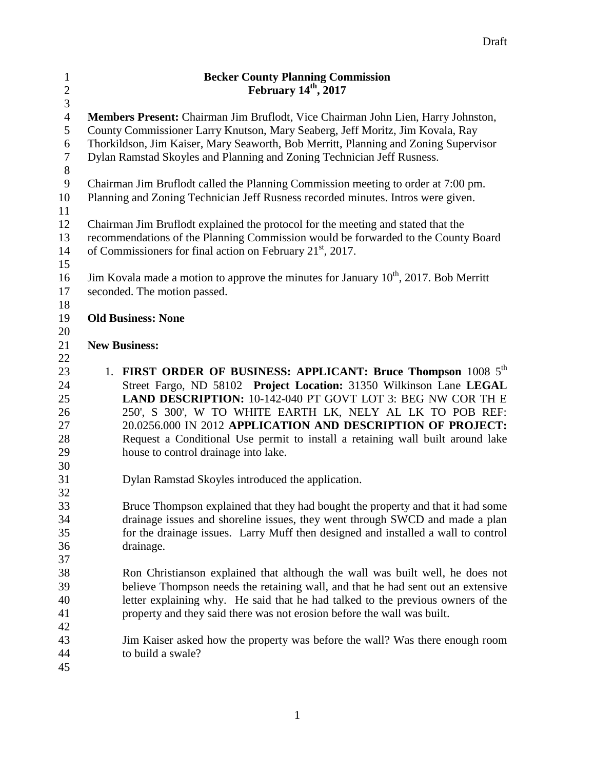| $\mathbf{1}$   | <b>Becker County Planning Commission</b>                                                  |  |  |
|----------------|-------------------------------------------------------------------------------------------|--|--|
| $\overline{c}$ | February 14 <sup>th</sup> , 2017                                                          |  |  |
| $\overline{3}$ |                                                                                           |  |  |
| $\overline{4}$ | Members Present: Chairman Jim Bruflodt, Vice Chairman John Lien, Harry Johnston,          |  |  |
| 5              | County Commissioner Larry Knutson, Mary Seaberg, Jeff Moritz, Jim Kovala, Ray             |  |  |
| 6              | Thorkildson, Jim Kaiser, Mary Seaworth, Bob Merritt, Planning and Zoning Supervisor       |  |  |
| 7              | Dylan Ramstad Skoyles and Planning and Zoning Technician Jeff Rusness.                    |  |  |
| 8              |                                                                                           |  |  |
| 9              | Chairman Jim Bruflodt called the Planning Commission meeting to order at 7:00 pm.         |  |  |
| 10             | Planning and Zoning Technician Jeff Rusness recorded minutes. Intros were given.          |  |  |
| 11             |                                                                                           |  |  |
| 12             | Chairman Jim Bruflodt explained the protocol for the meeting and stated that the          |  |  |
| 13             | recommendations of the Planning Commission would be forwarded to the County Board         |  |  |
| 14             | of Commissioners for final action on February 21 <sup>st</sup> , 2017.                    |  |  |
| 15<br>16       |                                                                                           |  |  |
| 17             | Jim Kovala made a motion to approve the minutes for January $10^{th}$ , 2017. Bob Merritt |  |  |
| 18             | seconded. The motion passed.                                                              |  |  |
| 19             | <b>Old Business: None</b>                                                                 |  |  |
| 20             |                                                                                           |  |  |
| 21             | <b>New Business:</b>                                                                      |  |  |
| 22             |                                                                                           |  |  |
| 23             | 1. FIRST ORDER OF BUSINESS: APPLICANT: Bruce Thompson 1008 5 <sup>th</sup>                |  |  |
| 24             | Street Fargo, ND 58102 Project Location: 31350 Wilkinson Lane LEGAL                       |  |  |
| 25             | LAND DESCRIPTION: 10-142-040 PT GOVT LOT 3: BEG NW COR TH E                               |  |  |
| 26             | 250', S 300', W TO WHITE EARTH LK, NELY AL LK TO POB REF:                                 |  |  |
| 27             | 20.0256.000 IN 2012 APPLICATION AND DESCRIPTION OF PROJECT:                               |  |  |
| 28             | Request a Conditional Use permit to install a retaining wall built around lake            |  |  |
| 29             | house to control drainage into lake.                                                      |  |  |
| 30             |                                                                                           |  |  |
| 31             | Dylan Ramstad Skoyles introduced the application.                                         |  |  |
| 32             |                                                                                           |  |  |
| 33             | Bruce Thompson explained that they had bought the property and that it had some           |  |  |
| 34             | drainage issues and shoreline issues, they went through SWCD and made a plan              |  |  |
| 35             | for the drainage issues. Larry Muff then designed and installed a wall to control         |  |  |
| 36             | drainage.                                                                                 |  |  |
| 37             |                                                                                           |  |  |
| 38             | Ron Christianson explained that although the wall was built well, he does not             |  |  |
| 39             | believe Thompson needs the retaining wall, and that he had sent out an extensive          |  |  |
| 40<br>41       | letter explaining why. He said that he had talked to the previous owners of the           |  |  |
| 42             | property and they said there was not erosion before the wall was built.                   |  |  |
| 43             | Jim Kaiser asked how the property was before the wall? Was there enough room              |  |  |
| 44             | to build a swale?                                                                         |  |  |
| 45             |                                                                                           |  |  |
|                |                                                                                           |  |  |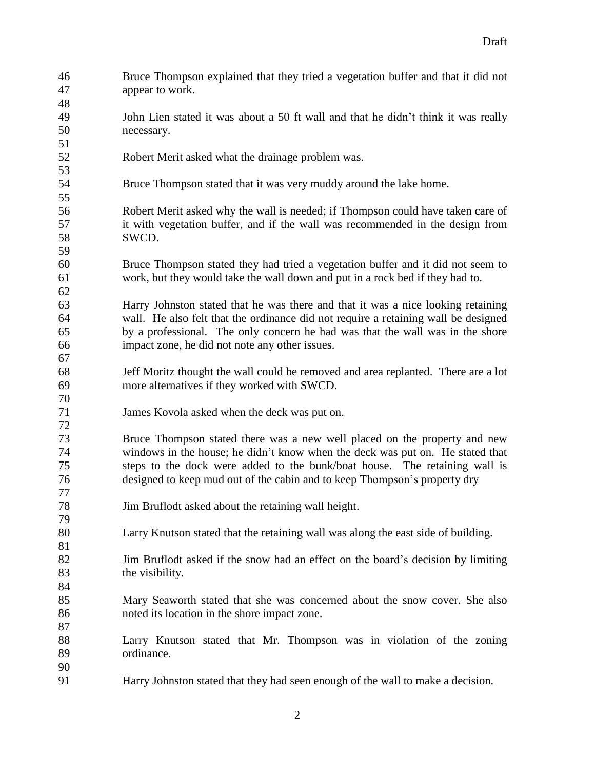| 46 | Bruce Thompson explained that they tried a vegetation buffer and that it did not   |
|----|------------------------------------------------------------------------------------|
| 47 | appear to work.                                                                    |
| 48 |                                                                                    |
| 49 | John Lien stated it was about a 50 ft wall and that he didn't think it was really  |
| 50 | necessary.                                                                         |
| 51 |                                                                                    |
| 52 | Robert Merit asked what the drainage problem was.                                  |
| 53 |                                                                                    |
| 54 | Bruce Thompson stated that it was very muddy around the lake home.                 |
| 55 |                                                                                    |
| 56 | Robert Merit asked why the wall is needed; if Thompson could have taken care of    |
| 57 | it with vegetation buffer, and if the wall was recommended in the design from      |
| 58 | SWCD.                                                                              |
| 59 |                                                                                    |
| 60 | Bruce Thompson stated they had tried a vegetation buffer and it did not seem to    |
| 61 | work, but they would take the wall down and put in a rock bed if they had to.      |
| 62 |                                                                                    |
| 63 | Harry Johnston stated that he was there and that it was a nice looking retaining   |
| 64 | wall. He also felt that the ordinance did not require a retaining wall be designed |
| 65 | by a professional. The only concern he had was that the wall was in the shore      |
| 66 | impact zone, he did not note any other issues.                                     |
| 67 |                                                                                    |
| 68 | Jeff Moritz thought the wall could be removed and area replanted. There are a lot  |
| 69 | more alternatives if they worked with SWCD.                                        |
| 70 |                                                                                    |
| 71 | James Kovola asked when the deck was put on.                                       |
| 72 |                                                                                    |
| 73 | Bruce Thompson stated there was a new well placed on the property and new          |
| 74 | windows in the house; he didn't know when the deck was put on. He stated that      |
| 75 | steps to the dock were added to the bunk/boat house. The retaining wall is         |
| 76 | designed to keep mud out of the cabin and to keep Thompson's property dry          |
| 77 |                                                                                    |
| 78 | Jim Bruflodt asked about the retaining wall height.                                |
| 79 |                                                                                    |
| 80 | Larry Knutson stated that the retaining wall was along the east side of building.  |
| 81 |                                                                                    |
| 82 | Jim Bruflodt asked if the snow had an effect on the board's decision by limiting   |
| 83 | the visibility.                                                                    |
| 84 |                                                                                    |
| 85 | Mary Seaworth stated that she was concerned about the snow cover. She also         |
| 86 | noted its location in the shore impact zone.                                       |
| 87 |                                                                                    |
| 88 | Larry Knutson stated that Mr. Thompson was in violation of the zoning              |
| 89 | ordinance.                                                                         |
| 90 |                                                                                    |
| 91 | Harry Johnston stated that they had seen enough of the wall to make a decision.    |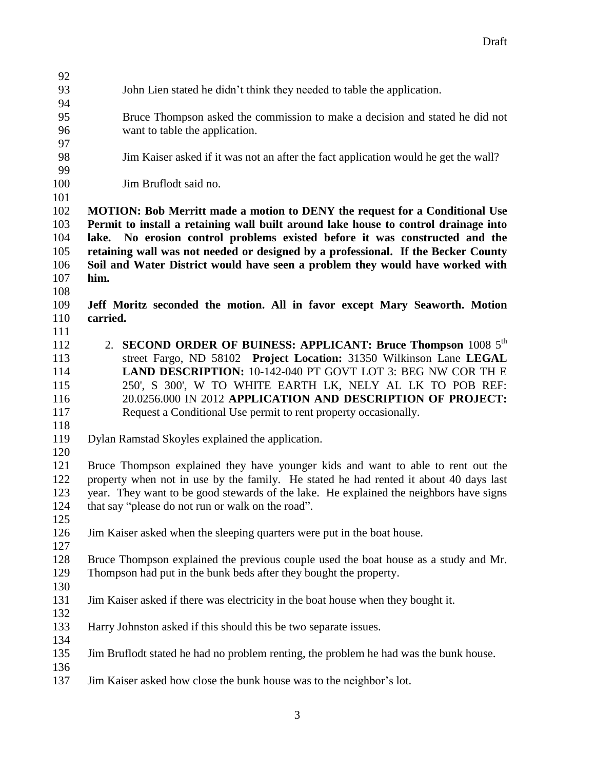## John Lien stated he didn't think they needed to table the application.

- Bruce Thompson asked the commission to make a decision and stated he did not want to table the application.
- Jim Kaiser asked if it was not an after the fact application would he get the wall?
- Jim Bruflodt said no.
- 

 **MOTION: Bob Merritt made a motion to DENY the request for a Conditional Use Permit to install a retaining wall built around lake house to control drainage into lake. No erosion control problems existed before it was constructed and the retaining wall was not needed or designed by a professional. If the Becker County Soil and Water District would have seen a problem they would have worked with him.**

- **Jeff Moritz seconded the motion. All in favor except Mary Seaworth. Motion carried.**
- 112 **2. SECOND ORDER OF BUINESS: APPLICANT: Bruce Thompson** 1008 5<sup>th</sup> street Fargo, ND 58102 **Project Location:** 31350 Wilkinson Lane **LEGAL LAND DESCRIPTION:** 10-142-040 PT GOVT LOT 3: BEG NW COR TH E 250', S 300', W TO WHITE EARTH LK, NELY AL LK TO POB REF: 20.0256.000 IN 2012 **APPLICATION AND DESCRIPTION OF PROJECT:**  Request a Conditional Use permit to rent property occasionally.
- 
- Dylan Ramstad Skoyles explained the application.
- 

 Bruce Thompson explained they have younger kids and want to able to rent out the property when not in use by the family. He stated he had rented it about 40 days last year. They want to be good stewards of the lake. He explained the neighbors have signs 124 that say "please do not run or walk on the road".

Jim Kaiser asked when the sleeping quarters were put in the boat house.

 Bruce Thompson explained the previous couple used the boat house as a study and Mr. Thompson had put in the bunk beds after they bought the property.

- Jim Kaiser asked if there was electricity in the boat house when they bought it.
- Harry Johnston asked if this should this be two separate issues.
- Jim Bruflodt stated he had no problem renting, the problem he had was the bunk house.
- 
- Jim Kaiser asked how close the bunk house was to the neighbor's lot.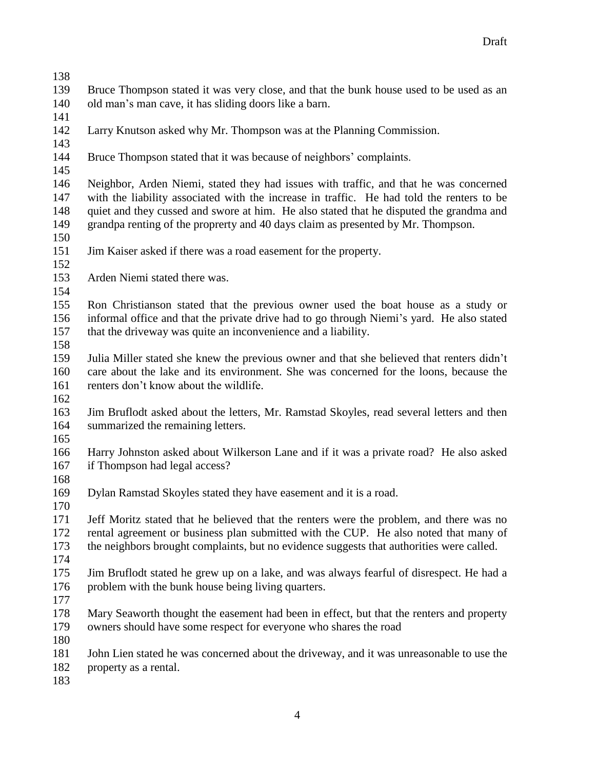Bruce Thompson stated it was very close, and that the bunk house used to be used as an old man's man cave, it has sliding doors like a barn.

- 
- Larry Knutson asked why Mr. Thompson was at the Planning Commission.
- 
- Bruce Thompson stated that it was because of neighbors' complaints.

 Neighbor, Arden Niemi, stated they had issues with traffic, and that he was concerned with the liability associated with the increase in traffic. He had told the renters to be quiet and they cussed and swore at him. He also stated that he disputed the grandma and grandpa renting of the proprerty and 40 days claim as presented by Mr. Thompson.

- 
- Jim Kaiser asked if there was a road easement for the property.
- 
- Arden Niemi stated there was.
- 

 Ron Christianson stated that the previous owner used the boat house as a study or informal office and that the private drive had to go through Niemi's yard. He also stated that the driveway was quite an inconvenience and a liability. 

 Julia Miller stated she knew the previous owner and that she believed that renters didn't care about the lake and its environment. She was concerned for the loons, because the renters don't know about the wildlife.

 Jim Bruflodt asked about the letters, Mr. Ramstad Skoyles, read several letters and then summarized the remaining letters.

 Harry Johnston asked about Wilkerson Lane and if it was a private road? He also asked if Thompson had legal access? 

- Dylan Ramstad Skoyles stated they have easement and it is a road.
- 

 Jeff Moritz stated that he believed that the renters were the problem, and there was no rental agreement or business plan submitted with the CUP. He also noted that many of the neighbors brought complaints, but no evidence suggests that authorities were called.

 Jim Bruflodt stated he grew up on a lake, and was always fearful of disrespect. He had a 176 problem with the bunk house being living quarters.

 Mary Seaworth thought the easement had been in effect, but that the renters and property owners should have some respect for everyone who shares the road

 John Lien stated he was concerned about the driveway, and it was unreasonable to use the property as a rental.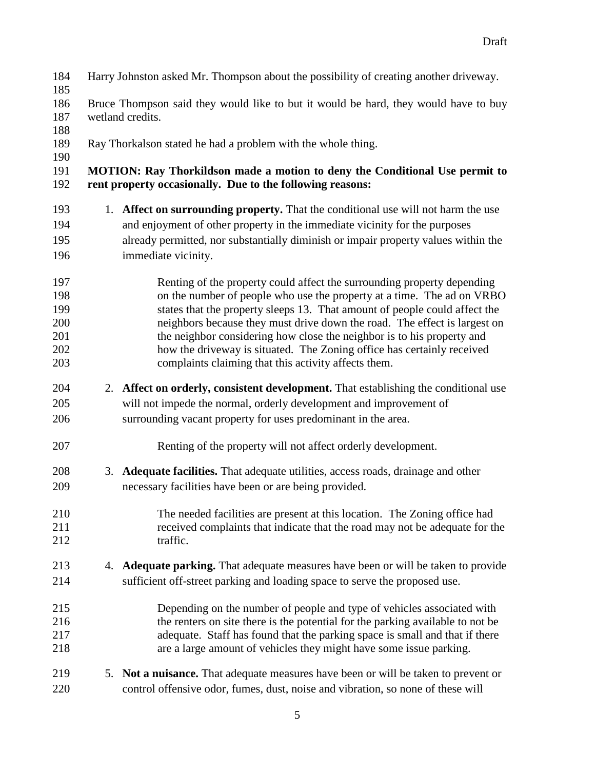Bruce Thompson said they would like to but it would be hard, they would have to buy wetland credits. Ray Thorkalson stated he had a problem with the whole thing. **MOTION: Ray Thorkildson made a motion to deny the Conditional Use permit to rent property occasionally. Due to the following reasons:** 1. **Affect on surrounding property.** That the conditional use will not harm the use and enjoyment of other property in the immediate vicinity for the purposes already permitted, nor substantially diminish or impair property values within the immediate vicinity. Renting of the property could affect the surrounding property depending on the number of people who use the property at a time. The ad on VRBO states that the property sleeps 13. That amount of people could affect the neighbors because they must drive down the road. The effect is largest on 201 the neighbor considering how close the neighbor is to his property and how the driveway is situated. The Zoning office has certainly received complaints claiming that this activity affects them. 2. **Affect on orderly, consistent development.** That establishing the conditional use will not impede the normal, orderly development and improvement of surrounding vacant property for uses predominant in the area. Renting of the property will not affect orderly development. 3. **Adequate facilities.** That adequate utilities, access roads, drainage and other necessary facilities have been or are being provided. The needed facilities are present at this location. The Zoning office had received complaints that indicate that the road may not be adequate for the 212 traffic. 4. **Adequate parking.** That adequate measures have been or will be taken to provide sufficient off-street parking and loading space to serve the proposed use. Depending on the number of people and type of vehicles associated with the renters on site there is the potential for the parking available to not be adequate. Staff has found that the parking space is small and that if there are a large amount of vehicles they might have some issue parking. 5. **Not a nuisance.** That adequate measures have been or will be taken to prevent or control offensive odor, fumes, dust, noise and vibration, so none of these will

Harry Johnston asked Mr. Thompson about the possibility of creating another driveway.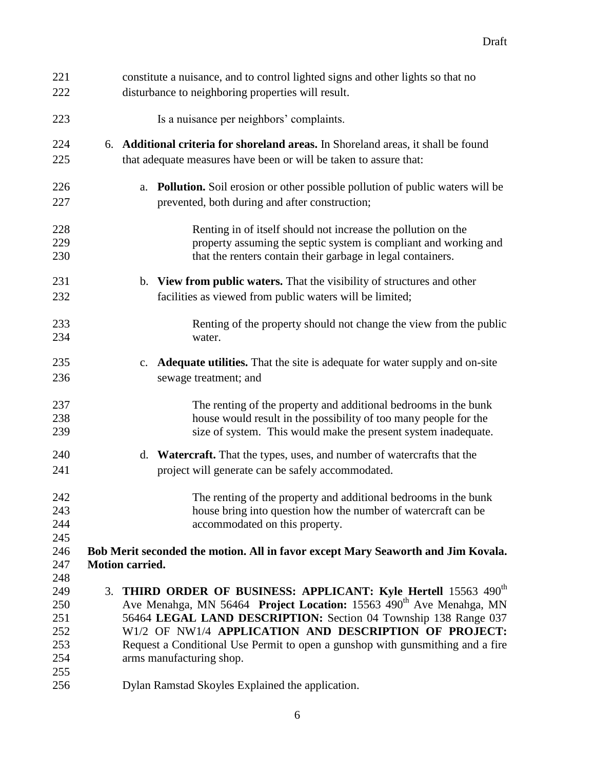| constitute a nuisance, and to control lighted signs and other lights so that no                                                             |  |  |
|---------------------------------------------------------------------------------------------------------------------------------------------|--|--|
| disturbance to neighboring properties will result.                                                                                          |  |  |
| Is a nuisance per neighbors' complaints.                                                                                                    |  |  |
| 6. Additional criteria for shoreland areas. In Shoreland areas, it shall be found                                                           |  |  |
| that adequate measures have been or will be taken to assure that:                                                                           |  |  |
| <b>Pollution.</b> Soil erosion or other possible pollution of public waters will be<br>a.<br>prevented, both during and after construction; |  |  |
| Renting in of itself should not increase the pollution on the                                                                               |  |  |
| property assuming the septic system is compliant and working and                                                                            |  |  |
| that the renters contain their garbage in legal containers.                                                                                 |  |  |
| b. View from public waters. That the visibility of structures and other<br>facilities as viewed from public waters will be limited;         |  |  |
|                                                                                                                                             |  |  |
| Renting of the property should not change the view from the public<br>water.                                                                |  |  |
| <b>Adequate utilities.</b> That the site is adequate for water supply and on-site<br>c.                                                     |  |  |
| sewage treatment; and                                                                                                                       |  |  |
| The renting of the property and additional bedrooms in the bunk                                                                             |  |  |
| house would result in the possibility of too many people for the                                                                            |  |  |
| size of system. This would make the present system inadequate.                                                                              |  |  |
| d. Watercraft. That the types, uses, and number of watercrafts that the                                                                     |  |  |
| project will generate can be safely accommodated.                                                                                           |  |  |
| The renting of the property and additional bedrooms in the bunk                                                                             |  |  |
| house bring into question how the number of watercraft can be                                                                               |  |  |
| accommodated on this property.                                                                                                              |  |  |
|                                                                                                                                             |  |  |
| Bob Merit seconded the motion. All in favor except Mary Seaworth and Jim Kovala.                                                            |  |  |
| Motion carried.                                                                                                                             |  |  |
|                                                                                                                                             |  |  |
| 3. THIRD ORDER OF BUSINESS: APPLICANT: Kyle Hertell 15563 490 <sup>th</sup>                                                                 |  |  |
| Ave Menahga, MN 56464 Project Location: 15563 490 <sup>th</sup> Ave Menahga, MN                                                             |  |  |
| 56464 LEGAL LAND DESCRIPTION: Section 04 Township 138 Range 037<br>251                                                                      |  |  |
| W1/2 OF NW1/4 APPLICATION AND DESCRIPTION OF PROJECT:<br>252                                                                                |  |  |
| 253<br>Request a Conditional Use Permit to open a gunshop with gunsmithing and a fire<br>254                                                |  |  |
| arms manufacturing shop.                                                                                                                    |  |  |
|                                                                                                                                             |  |  |
|                                                                                                                                             |  |  |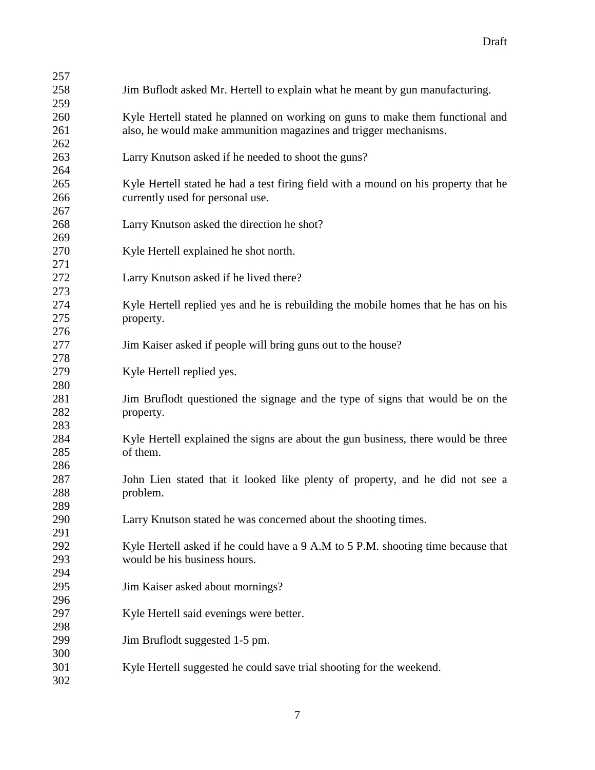| 257 |                                                                                     |
|-----|-------------------------------------------------------------------------------------|
| 258 | Jim Buflodt asked Mr. Hertell to explain what he meant by gun manufacturing.        |
| 259 |                                                                                     |
| 260 | Kyle Hertell stated he planned on working on guns to make them functional and       |
| 261 | also, he would make ammunition magazines and trigger mechanisms.                    |
| 262 |                                                                                     |
| 263 | Larry Knutson asked if he needed to shoot the guns?                                 |
| 264 |                                                                                     |
| 265 | Kyle Hertell stated he had a test firing field with a mound on his property that he |
| 266 | currently used for personal use.                                                    |
| 267 |                                                                                     |
| 268 | Larry Knutson asked the direction he shot?                                          |
| 269 |                                                                                     |
| 270 | Kyle Hertell explained he shot north.                                               |
| 271 |                                                                                     |
| 272 | Larry Knutson asked if he lived there?                                              |
| 273 |                                                                                     |
| 274 | Kyle Hertell replied yes and he is rebuilding the mobile homes that he has on his   |
| 275 | property.                                                                           |
| 276 |                                                                                     |
| 277 | Jim Kaiser asked if people will bring guns out to the house?                        |
| 278 |                                                                                     |
| 279 | Kyle Hertell replied yes.                                                           |
| 280 |                                                                                     |
| 281 | Jim Bruflodt questioned the signage and the type of signs that would be on the      |
| 282 | property.                                                                           |
| 283 |                                                                                     |
| 284 | Kyle Hertell explained the signs are about the gun business, there would be three   |
| 285 | of them.                                                                            |
| 286 |                                                                                     |
| 287 | John Lien stated that it looked like plenty of property, and he did not see a       |
| 288 | problem.                                                                            |
| 289 |                                                                                     |
| 290 | Larry Knutson stated he was concerned about the shooting times.                     |
| 291 |                                                                                     |
| 292 | Kyle Hertell asked if he could have a 9 A.M to 5 P.M. shooting time because that    |
| 293 | would be his business hours.                                                        |
| 294 |                                                                                     |
| 295 | Jim Kaiser asked about mornings?                                                    |
| 296 |                                                                                     |
| 297 | Kyle Hertell said evenings were better.                                             |
| 298 |                                                                                     |
| 299 | Jim Bruflodt suggested 1-5 pm.                                                      |
| 300 |                                                                                     |
| 301 | Kyle Hertell suggested he could save trial shooting for the weekend.                |
| 302 |                                                                                     |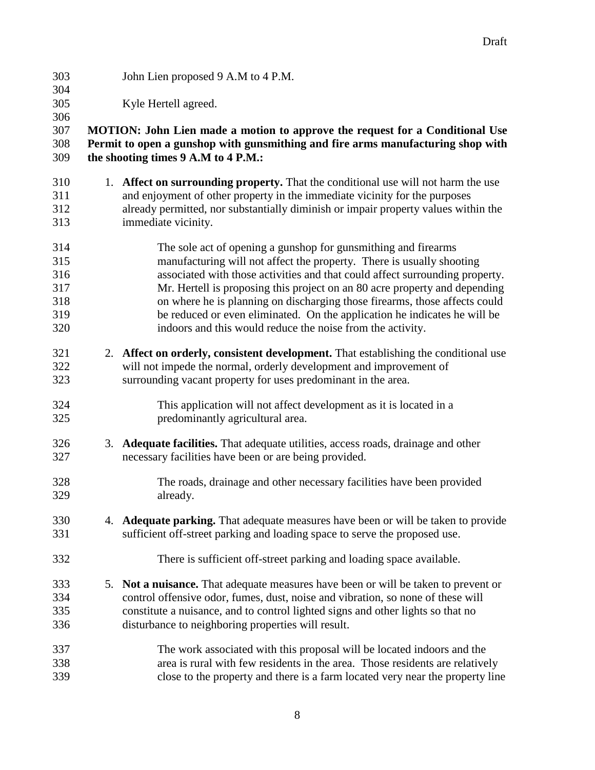- John Lien proposed 9 A.M to 4 P.M.
- Kyle Hertell agreed.

## **MOTION: John Lien made a motion to approve the request for a Conditional Use Permit to open a gunshop with gunsmithing and fire arms manufacturing shop with the shooting times 9 A.M to 4 P.M.:**

- 1. **Affect on surrounding property.** That the conditional use will not harm the use and enjoyment of other property in the immediate vicinity for the purposes already permitted, nor substantially diminish or impair property values within the immediate vicinity.
- The sole act of opening a gunshop for gunsmithing and firearms manufacturing will not affect the property. There is usually shooting associated with those activities and that could affect surrounding property. Mr. Hertell is proposing this project on an 80 acre property and depending on where he is planning on discharging those firearms, those affects could be reduced or even eliminated. On the application he indicates he will be indoors and this would reduce the noise from the activity.
- 2. **Affect on orderly, consistent development.** That establishing the conditional use will not impede the normal, orderly development and improvement of surrounding vacant property for uses predominant in the area.
- This application will not affect development as it is located in a predominantly agricultural area.
- 3. **Adequate facilities.** That adequate utilities, access roads, drainage and other necessary facilities have been or are being provided.
- The roads, drainage and other necessary facilities have been provided already.
- 4. **Adequate parking.** That adequate measures have been or will be taken to provide sufficient off-street parking and loading space to serve the proposed use.
- There is sufficient off-street parking and loading space available.
- 5. **Not a nuisance.** That adequate measures have been or will be taken to prevent or control offensive odor, fumes, dust, noise and vibration, so none of these will constitute a nuisance, and to control lighted signs and other lights so that no disturbance to neighboring properties will result.
- The work associated with this proposal will be located indoors and the area is rural with few residents in the area. Those residents are relatively close to the property and there is a farm located very near the property line